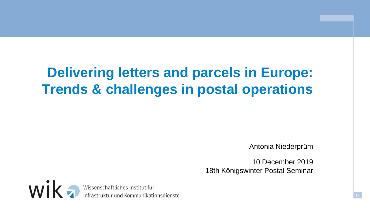# **Delivering letters and parcels in Europe: Trends & challenges in postal operations**

Antonia Niederprüm

10 December 2019 18th Königswinter Postal Seminar

wik Wissenschaftliches Institut für<br>Infrastruktur und Kommunikationsdienste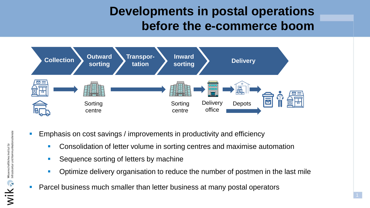### **Developments in postal operations before the e-commerce boom**



- Emphasis on cost savings / improvements in productivity and efficiency
	- **Consolidation of letter volume in sorting centres and maximise automation**
	- Sequence sorting of letters by machine
	- Optimize delivery organisation to reduce the number of postmen in the last mile
- Parcel business much smaller than letter business at many postal operators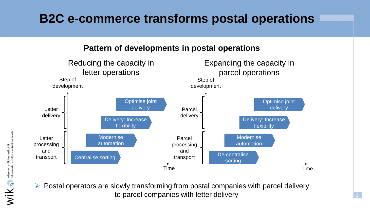### **B2C e-commerce transforms postal operations**



 $\triangleright$  Postal operators are slowly transforming from postal companies with parcel delivery to parcel companies with letter delivery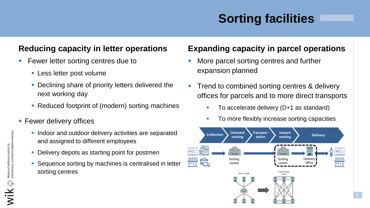# **Sorting facilities**

### **Reducing capacity in letter operations**

- **Fewer letter sorting centres due to** 
	- **Less letter post volume**
	- **Declining share of priority letters delivered the** next working day
	- Reduced footprint of (modern) sorting machines
- **Fewer delivery offices** 
	- **Indoor and outdoor delivery activities are separated** and assigned to different employees
	- **Delivery depots as starting point for postmen**
	- **Sequence sorting by machines is centralised in letter** sorting centres

#### **Expanding capacity in parcel operations**

- More parcel sorting centres and further expansion planned
- Trend to combined sorting centres & delivery offices for parcels and to more direct transports
	- To accelerate delivery (D+1 as standard)
	- To more flexibly increase sorting capacities

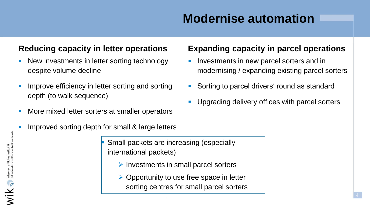## **Modernise automation**

### **Reducing capacity in letter operations**

- New investments in letter sorting technology despite volume decline
- Improve efficiency in letter sorting and sorting depth (to walk sequence)
- More mixed letter sorters at smaller operators
- Improved sorting depth for small & large letters

 Small packets are increasing (especially international packets)

- $\triangleright$  Investments in small parcel sorters
- $\triangleright$  Opportunity to use free space in letter sorting centres for small parcel sorters

#### **Expanding capacity in parcel operations**

- Investments in new parcel sorters and in modernising / expanding existing parcel sorters
- Sorting to parcel drivers' round as standard
- Upgrading delivery offices with parcel sorters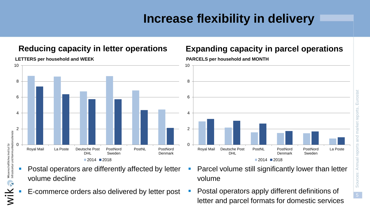### **Increase flexibility in delivery**



#### **LETTERS per household and WEEK**

- Postal operators are differently affected by letter volume decline
	- E-commerce orders also delivered by letter post
- Parcel volume still significantly lower than letter volume
- Postal operators apply different definitions of letter and parcel formats for domestic services

#### **Reducing capacity in letter operations Expanding capacity in parcel operations**

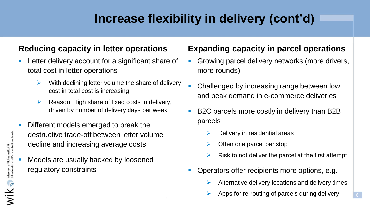## **Increase flexibility in delivery (cont'd)**

#### **Reducing capacity in letter operations**

- Letter delivery account for a significant share of total cost in letter operations
	- $\triangleright$  With declining letter volume the share of delivery cost in total cost is increasing
	- $\triangleright$  Reason: High share of fixed costs in delivery, driven by number of delivery days per week
- Different models emerged to break the destructive trade-off between letter volume decline and increasing average costs
- Models are usually backed by loosened regulatory constraints

#### **Expanding capacity in parcel operations**

- Growing parcel delivery networks (more drivers, more rounds)
- Challenged by increasing range between low and peak demand in e-commerce deliveries
- B2C parcels more costly in delivery than B2B parcels
	- Delivery in residential areas
	- $\triangleright$  Often one parcel per stop
	- $\triangleright$  Risk to not deliver the parcel at the first attempt
- Operators offer recipients more options, e.g.
	- $\triangleright$  Alternative delivery locations and delivery times
	- Apps for re-routing of parcels during delivery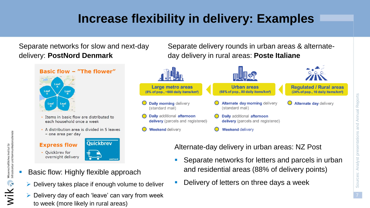## **Increase flexibility in delivery: Examples**

Separate networks for slow and next-day delivery: **PostNord Denmark**

> **Basic flow - "The flower"**  $L$ eaf Leaf  $L$ eaf Leaf

- Items in basic flow are distributed to each household once a week
- A distribution area is divided in 5 leaves - one area per day

#### **Express flow** • Quickbrev for

Wissenschaftliches Institut fü<br>Infrastruktur und Kommunikat

wika:

- **Quickbrev** overnight delivery
- Basic flow: Highly flexible approach
- $\triangleright$  Delivery takes place if enough volume to deliver
- $\triangleright$  Delivery day of each 'leave' can vary from week to week (more likely in rural areas)

Separate delivery rounds in urban areas & alternateday delivery in rural areas: **Poste Italiane**



#### Alternate-day delivery in urban areas: NZ Post

- **Separate networks for letters and parcels in urban** and residential areas (88% of delivery points)
- Delivery of letters on three days a week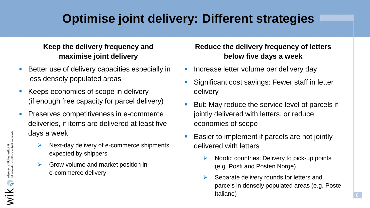### **Optimise joint delivery: Different strategies**

#### **Keep the delivery frequency and maximise joint delivery**

- Better use of delivery capacities especially in less densely populated areas
- Keeps economies of scope in delivery (if enough free capacity for parcel delivery)
- Preserves competitiveness in e-commerce deliveries, if items are delivered at least five days a week
	- Next-day delivery of e-commerce shipments expected by shippers
	- Grow volume and market position in e-commerce delivery

#### **Reduce the delivery frequency of letters below five days a week**

- **Increase letter volume per delivery day**
- **Significant cost savings: Fewer staff in letter** delivery
- **But: May reduce the service level of parcels if** jointly delivered with letters, or reduce economies of scope
- Easier to implement if parcels are not jointly delivered with letters
	- $\triangleright$  Nordic countries: Delivery to pick-up points (e.g. Posti and Posten Norge)
	- Separate delivery rounds for letters and parcels in densely populated areas (e.g. Poste Italiane)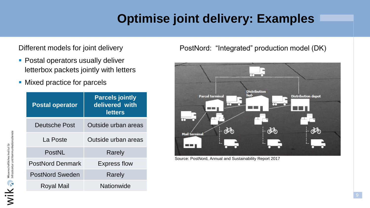## **Optimise joint delivery: Examples**

Different models for joint delivery

- **Postal operators usually deliver** letterbox packets jointly with letters
- Mixed practice for parcels

| <b>Postal operator</b>  | <b>Parcels jointly</b><br>delivered with<br><b>letters</b> |  |
|-------------------------|------------------------------------------------------------|--|
| Deutsche Post           | Outside urban areas                                        |  |
| La Poste                | Outside urban areas                                        |  |
| PostNL                  | Rarely                                                     |  |
| <b>PostNord Denmark</b> | <b>Express flow</b>                                        |  |
| PostNord Sweden         | Rarely                                                     |  |
| Royal Mail              | Nationwide                                                 |  |

PostNord: "Integrated" production model (DK)



Source: PostNord, Annual and Sustainability Report 2017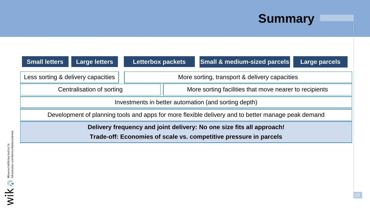## **Summary**

| <b>Small letters</b>                                                                               | <b>Large letters</b>               | <b>Letterbox packets</b>                               |  | Small & medium-sized parcels | Large parcels |  |
|----------------------------------------------------------------------------------------------------|------------------------------------|--------------------------------------------------------|--|------------------------------|---------------|--|
|                                                                                                    | Less sorting & delivery capacities | More sorting, transport & delivery capacities          |  |                              |               |  |
| Centralisation of sorting                                                                          |                                    | More sorting facilities that move nearer to recipients |  |                              |               |  |
| Investments in better automation (and sorting depth)                                               |                                    |                                                        |  |                              |               |  |
| Development of planning tools and apps for more flexible delivery and to better manage peak demand |                                    |                                                        |  |                              |               |  |
| Delivery frequency and joint delivery: No one size fits all approach!                              |                                    |                                                        |  |                              |               |  |
| Trade-off: Economies of scale vs. competitive pressure in parcels                                  |                                    |                                                        |  |                              |               |  |
|                                                                                                    |                                    |                                                        |  |                              |               |  |
|                                                                                                    |                                    |                                                        |  |                              |               |  |
|                                                                                                    |                                    |                                                        |  |                              |               |  |